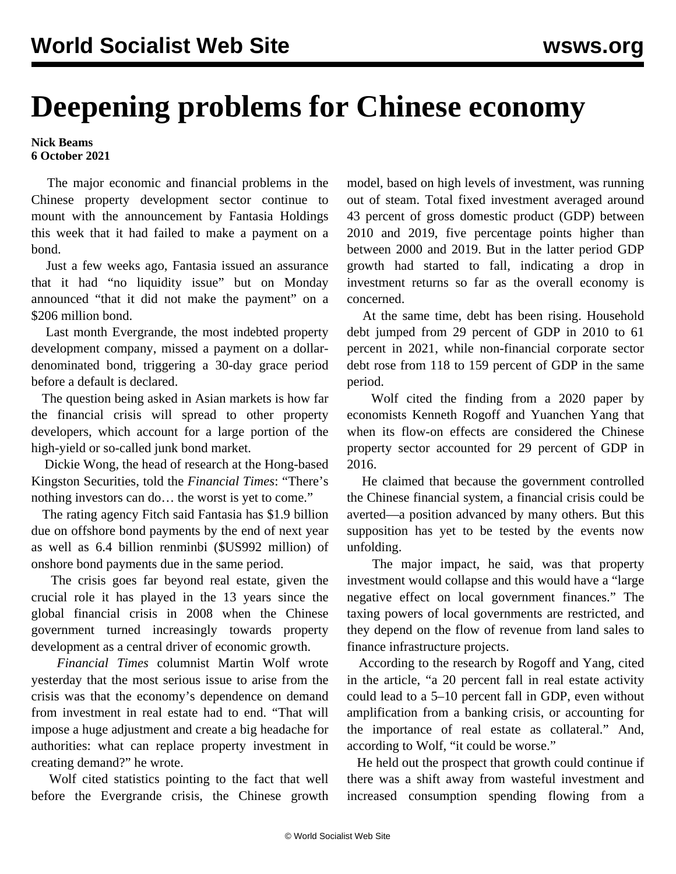## **Deepening problems for Chinese economy**

**Nick Beams 6 October 2021**

 The major economic and financial problems in the Chinese property development sector continue to mount with the announcement by Fantasia Holdings this week that it had failed to make a payment on a bond.

 Just a few weeks ago, Fantasia issued an assurance that it had "no liquidity issue" but on Monday announced "that it did not make the payment" on a \$206 million bond.

 Last month Evergrande, the most indebted property development company, missed a payment on a dollardenominated bond, triggering a 30-day grace period before a default is declared.

 The question being asked in Asian markets is how far the financial crisis will spread to other property developers, which account for a large portion of the high-yield or so-called junk bond market.

 Dickie Wong, the head of research at the Hong-based Kingston Securities, told the *Financial Times*: "There's nothing investors can do… the worst is yet to come."

 The rating agency Fitch said Fantasia has \$1.9 billion due on offshore bond payments by the end of next year as well as 6.4 billion renminbi (\$US992 million) of onshore bond payments due in the same period.

 The crisis goes far beyond real estate, given the crucial role it has played in the 13 years since the global financial crisis in 2008 when the Chinese government turned increasingly towards property development as a central driver of economic growth.

 *Financial Times* columnist Martin Wolf wrote yesterday that the most serious issue to arise from the crisis was that the economy's dependence on demand from investment in real estate had to end. "That will impose a huge adjustment and create a big headache for authorities: what can replace property investment in creating demand?" he wrote.

 Wolf cited statistics pointing to the fact that well before the Evergrande crisis, the Chinese growth

model, based on high levels of investment, was running out of steam. Total fixed investment averaged around 43 percent of gross domestic product (GDP) between 2010 and 2019, five percentage points higher than between 2000 and 2019. But in the latter period GDP growth had started to fall, indicating a drop in investment returns so far as the overall economy is concerned.

 At the same time, debt has been rising. Household debt jumped from 29 percent of GDP in 2010 to 61 percent in 2021, while non-financial corporate sector debt rose from 118 to 159 percent of GDP in the same period.

 Wolf cited the finding from a 2020 paper by economists Kenneth Rogoff and Yuanchen Yang that when its flow-on effects are considered the Chinese property sector accounted for 29 percent of GDP in 2016.

 He claimed that because the government controlled the Chinese financial system, a financial crisis could be averted—a position advanced by many others. But this supposition has yet to be tested by the events now unfolding.

 The major impact, he said, was that property investment would collapse and this would have a "large negative effect on local government finances." The taxing powers of local governments are restricted, and they depend on the flow of revenue from land sales to finance infrastructure projects.

 According to the research by Rogoff and Yang, cited in the article, "a 20 percent fall in real estate activity could lead to a 5–10 percent fall in GDP, even without amplification from a banking crisis, or accounting for the importance of real estate as collateral." And, according to Wolf, "it could be worse."

 He held out the prospect that growth could continue if there was a shift away from wasteful investment and increased consumption spending flowing from a